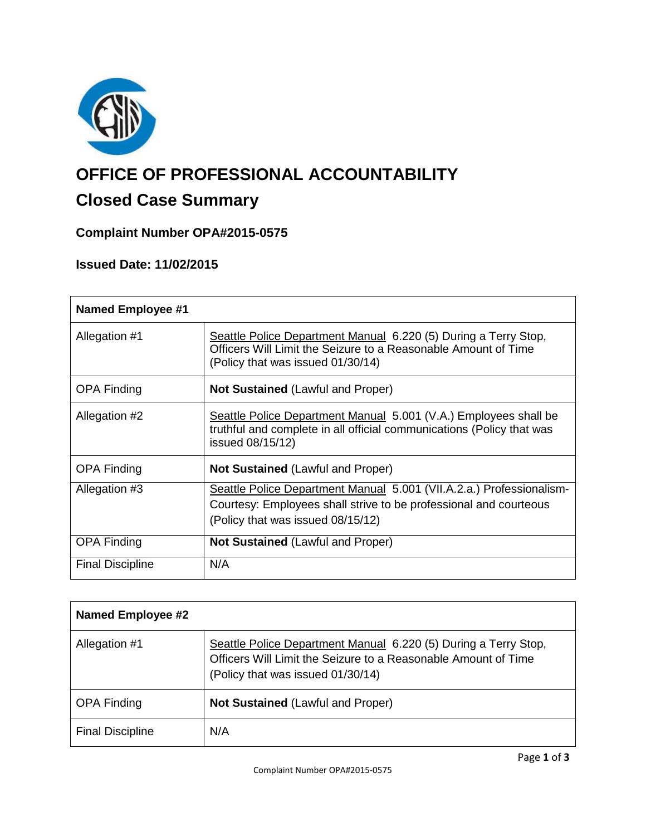

# **OFFICE OF PROFESSIONAL ACCOUNTABILITY**

# **Closed Case Summary**

### **Complaint Number OPA#2015-0575**

## **Issued Date: 11/02/2015**

| <b>Named Employee #1</b> |                                                                                                                                                                                |
|--------------------------|--------------------------------------------------------------------------------------------------------------------------------------------------------------------------------|
| Allegation #1            | Seattle Police Department Manual 6.220 (5) During a Terry Stop,<br>Officers Will Limit the Seizure to a Reasonable Amount of Time<br>(Policy that was issued 01/30/14)         |
| <b>OPA Finding</b>       | <b>Not Sustained (Lawful and Proper)</b>                                                                                                                                       |
| Allegation #2            | Seattle Police Department Manual 5.001 (V.A.) Employees shall be<br>truthful and complete in all official communications (Policy that was<br>issued 08/15/12)                  |
| <b>OPA Finding</b>       | <b>Not Sustained (Lawful and Proper)</b>                                                                                                                                       |
| Allegation #3            | Seattle Police Department Manual 5.001 (VII.A.2.a.) Professionalism-<br>Courtesy: Employees shall strive to be professional and courteous<br>(Policy that was issued 08/15/12) |
| <b>OPA Finding</b>       | <b>Not Sustained (Lawful and Proper)</b>                                                                                                                                       |
| <b>Final Discipline</b>  | N/A                                                                                                                                                                            |

| <b>Named Employee #2</b> |                                                                                                                                                                        |
|--------------------------|------------------------------------------------------------------------------------------------------------------------------------------------------------------------|
| Allegation #1            | Seattle Police Department Manual 6.220 (5) During a Terry Stop,<br>Officers Will Limit the Seizure to a Reasonable Amount of Time<br>(Policy that was issued 01/30/14) |
| <b>OPA Finding</b>       | <b>Not Sustained (Lawful and Proper)</b>                                                                                                                               |
| <b>Final Discipline</b>  | N/A                                                                                                                                                                    |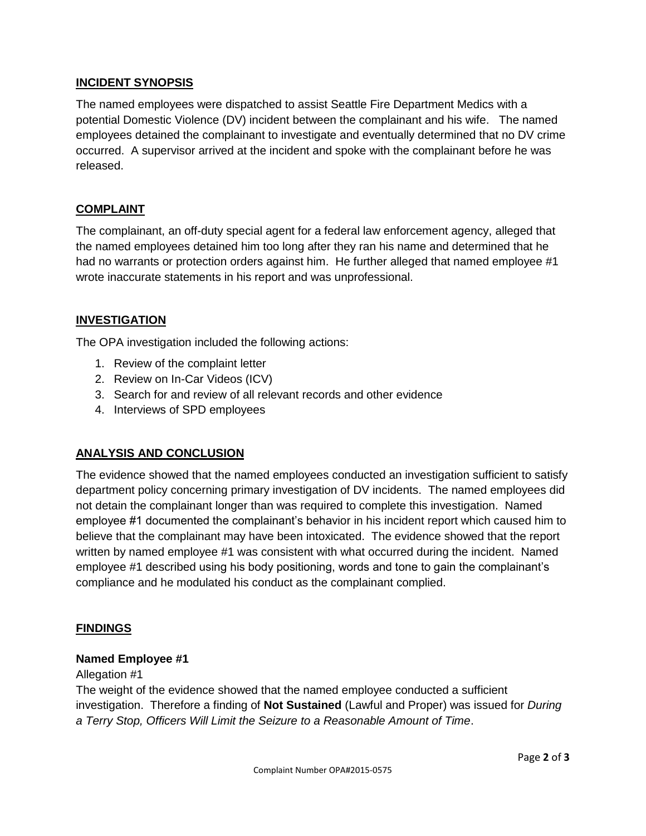#### **INCIDENT SYNOPSIS**

The named employees were dispatched to assist Seattle Fire Department Medics with a potential Domestic Violence (DV) incident between the complainant and his wife. The named employees detained the complainant to investigate and eventually determined that no DV crime occurred. A supervisor arrived at the incident and spoke with the complainant before he was released.

#### **COMPLAINT**

The complainant, an off-duty special agent for a federal law enforcement agency, alleged that the named employees detained him too long after they ran his name and determined that he had no warrants or protection orders against him. He further alleged that named employee #1 wrote inaccurate statements in his report and was unprofessional.

#### **INVESTIGATION**

The OPA investigation included the following actions:

- 1. Review of the complaint letter
- 2. Review on In-Car Videos (ICV)
- 3. Search for and review of all relevant records and other evidence
- 4. Interviews of SPD employees

#### **ANALYSIS AND CONCLUSION**

The evidence showed that the named employees conducted an investigation sufficient to satisfy department policy concerning primary investigation of DV incidents. The named employees did not detain the complainant longer than was required to complete this investigation. Named employee #1 documented the complainant's behavior in his incident report which caused him to believe that the complainant may have been intoxicated. The evidence showed that the report written by named employee #1 was consistent with what occurred during the incident. Named employee #1 described using his body positioning, words and tone to gain the complainant's compliance and he modulated his conduct as the complainant complied.

#### **FINDINGS**

#### **Named Employee #1**

Allegation #1

The weight of the evidence showed that the named employee conducted a sufficient investigation. Therefore a finding of **Not Sustained** (Lawful and Proper) was issued for *During a Terry Stop, Officers Will Limit the Seizure to a Reasonable Amount of Time*.